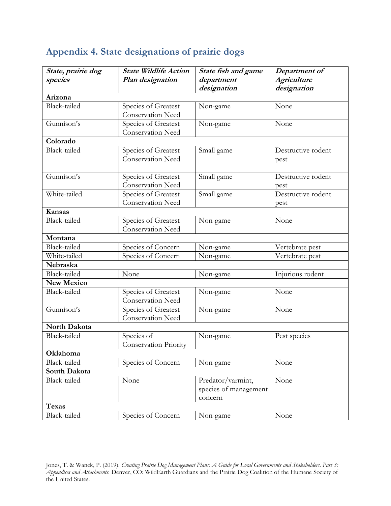| State, prairie dog<br>species | <b>State Wildlife Action</b><br>Plan designation | State fish and game<br>department<br>designation | Department of<br><b>Agriculture</b><br>designation |
|-------------------------------|--------------------------------------------------|--------------------------------------------------|----------------------------------------------------|
| Arizona                       |                                                  |                                                  |                                                    |
| <b>Black-tailed</b>           | Species of Greatest                              | Non-game                                         | None                                               |
|                               | Conservation Need                                |                                                  |                                                    |
| Gunnison's                    | Species of Greatest                              | Non-game                                         | None                                               |
|                               | Conservation Need                                |                                                  |                                                    |
| Colorado                      |                                                  |                                                  |                                                    |
| Black-tailed                  | Species of Greatest                              | Small game                                       | Destructive rodent                                 |
|                               | <b>Conservation Need</b>                         |                                                  | pest                                               |
| Gunnison's                    | Species of Greatest                              | Small game                                       | Destructive rodent                                 |
|                               | Conservation Need                                |                                                  | pest                                               |
| White-tailed                  | Species of Greatest                              | Small game                                       | Destructive rodent                                 |
|                               | <b>Conservation Need</b>                         |                                                  | pest                                               |
| <b>Kansas</b>                 |                                                  |                                                  |                                                    |
| Black-tailed                  | Species of Greatest                              | Non-game                                         | None                                               |
|                               | Conservation Need                                |                                                  |                                                    |
| Montana                       |                                                  |                                                  |                                                    |
| Black-tailed                  | Species of Concern                               | Non-game                                         | Vertebrate pest                                    |
| White-tailed                  | Species of Concern                               | Non-game                                         | Vertebrate pest                                    |
| Nebraska                      |                                                  |                                                  |                                                    |
| Black-tailed                  | None                                             | Non-game                                         | Injurious rodent                                   |
| <b>New Mexico</b>             |                                                  |                                                  |                                                    |
| Black-tailed                  | Species of Greatest                              | Non-game                                         | None                                               |
|                               | <b>Conservation Need</b>                         |                                                  |                                                    |
| Gunnison's                    | Species of Greatest                              | Non-game                                         | None                                               |
|                               | <b>Conservation Need</b>                         |                                                  |                                                    |
| North Dakota                  |                                                  |                                                  |                                                    |
| <b>Black-tailed</b>           | Species of                                       | Non-game                                         | Pest species                                       |
|                               | <b>Conservation Priority</b>                     |                                                  |                                                    |
| Oklahoma                      |                                                  |                                                  |                                                    |
| Black-tailed                  | Species of Concern                               | Non-game                                         | None                                               |
| South Dakota                  |                                                  |                                                  |                                                    |
| Black-tailed                  | None                                             | Predator/varmint,                                | None                                               |
|                               |                                                  | species of management                            |                                                    |
|                               |                                                  | concern                                          |                                                    |
| <b>Texas</b>                  |                                                  |                                                  |                                                    |
| Black-tailed                  | Species of Concern                               | Non-game                                         | None                                               |

## **Appendix 4. State designations of prairie dogs**